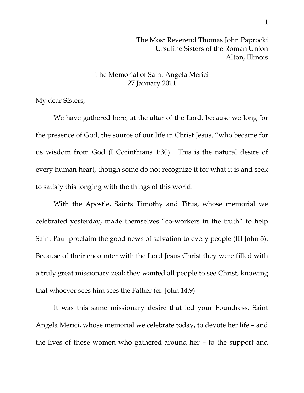The Most Reverend Thomas John Paprocki Ursuline Sisters of the Roman Union Alton, Illinois

## The Memorial of Saint Angela Merici 27 January 2011

My dear Sisters,

 We have gathered here, at the altar of the Lord, because we long for the presence of God, the source of our life in Christ Jesus, "who became for us wisdom from God (I Corinthians 1:30). This is the natural desire of every human heart, though some do not recognize it for what it is and seek to satisfy this longing with the things of this world.

 With the Apostle, Saints Timothy and Titus, whose memorial we celebrated yesterday, made themselves "co-workers in the truth" to help Saint Paul proclaim the good news of salvation to every people (III John 3). Because of their encounter with the Lord Jesus Christ they were filled with a truly great missionary zeal; they wanted all people to see Christ, knowing that whoever sees him sees the Father (cf. John 14:9).

 It was this same missionary desire that led your Foundress, Saint Angela Merici, whose memorial we celebrate today, to devote her life – and the lives of those women who gathered around her – to the support and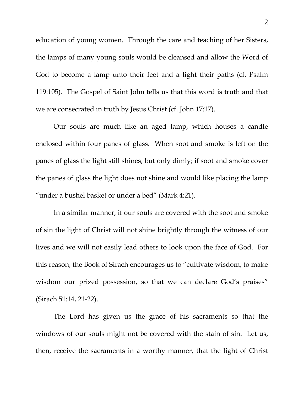education of young women. Through the care and teaching of her Sisters, the lamps of many young souls would be cleansed and allow the Word of God to become a lamp unto their feet and a light their paths (cf. Psalm 119:105). The Gospel of Saint John tells us that this word is truth and that we are consecrated in truth by Jesus Christ (cf. John 17:17).

 Our souls are much like an aged lamp, which houses a candle enclosed within four panes of glass. When soot and smoke is left on the panes of glass the light still shines, but only dimly; if soot and smoke cover the panes of glass the light does not shine and would like placing the lamp "under a bushel basket or under a bed" (Mark 4:21).

 In a similar manner, if our souls are covered with the soot and smoke of sin the light of Christ will not shine brightly through the witness of our lives and we will not easily lead others to look upon the face of God. For this reason, the Book of Sirach encourages us to "cultivate wisdom, to make wisdom our prized possession, so that we can declare God's praises" (Sirach 51:14, 21-22).

 The Lord has given us the grace of his sacraments so that the windows of our souls might not be covered with the stain of sin. Let us, then, receive the sacraments in a worthy manner, that the light of Christ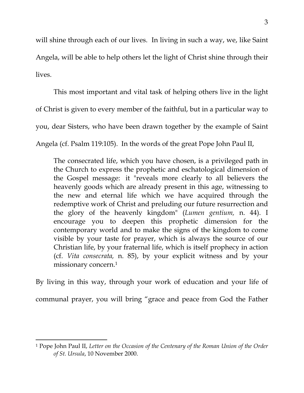will shine through each of our lives. In living in such a way, we, like Saint Angela, will be able to help others let the light of Christ shine through their lives.

This most important and vital task of helping others live in the light of Christ is given to every member of the faithful, but in a particular way to you, dear Sisters, who have been drawn together by the example of Saint Angela (cf. Psalm 119:105). In the words of the great Pope John Paul II,

The consecrated life, which you have chosen, is a privileged path in the Church to express the prophetic and eschatological dimension of the Gospel message: it "reveals more clearly to all believers the heavenly goods which are already present in this age, witnessing to the new and eternal life which we have acquired through the redemptive work of Christ and preluding our future resurrection and the glory of the heavenly kingdom" (*Lumen gentium,* n. 44). I encourage you to deepen this prophetic dimension for the contemporary world and to make the signs of the kingdom to come visible by your taste for prayer, which is always the source of our Christian life, by your fraternal life, which is itself prophecy in action (cf. *Vita consecrata,* n. 85), by your explicit witness and by your missionary concern.1

By living in this way, through your work of education and your life of communal prayer, you will bring "grace and peace from God the Father

<sup>1</sup> Pope John Paul II, *Letter on the Occasion of the Centenary of the Roman Union of the Order of St. Ursula*, 10 November 2000.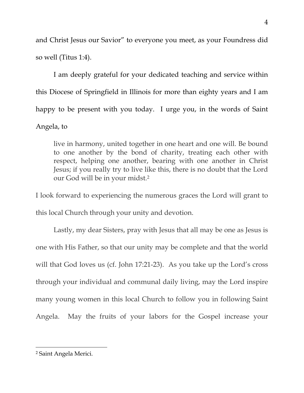and Christ Jesus our Savior" to everyone you meet, as your Foundress did so well (Titus 1:4).

 I am deeply grateful for your dedicated teaching and service within this Diocese of Springfield in Illinois for more than eighty years and I am happy to be present with you today. I urge you, in the words of Saint Angela, to

live in harmony, united together in one heart and one will. Be bound to one another by the bond of charity, treating each other with respect, helping one another, bearing with one another in Christ Jesus; if you really try to live like this, there is no doubt that the Lord our God will be in your midst.2

I look forward to experiencing the numerous graces the Lord will grant to this local Church through your unity and devotion.

 Lastly, my dear Sisters, pray with Jesus that all may be one as Jesus is one with His Father, so that our unity may be complete and that the world will that God loves us (cf. John 17:21-23). As you take up the Lord's cross through your individual and communal daily living, may the Lord inspire many young women in this local Church to follow you in following Saint Angela. May the fruits of your labors for the Gospel increase your

<sup>2</sup> Saint Angela Merici.